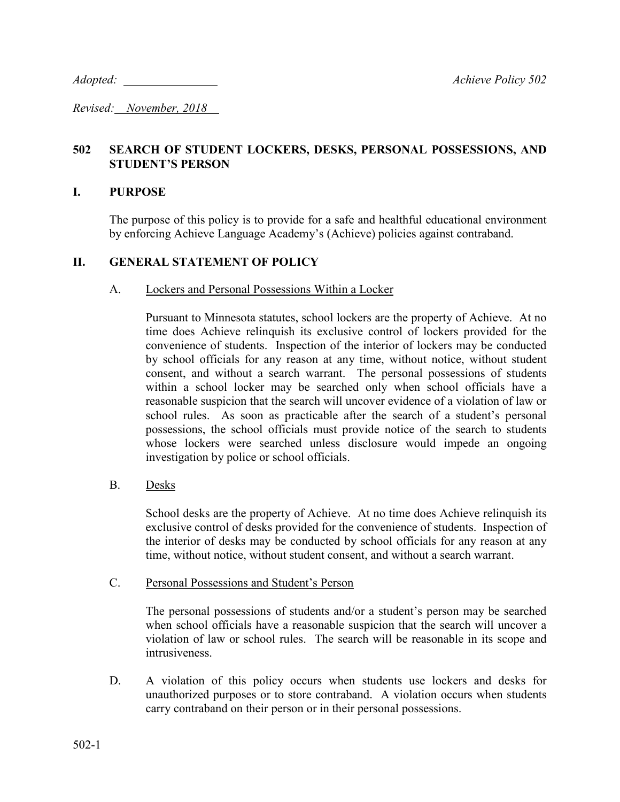*Adopted: Achieve Policy 502*

*Revised: November, 2018* 

# **502 SEARCH OF STUDENT LOCKERS, DESKS, PERSONAL POSSESSIONS, AND STUDENT'S PERSON**

### **I. PURPOSE**

The purpose of this policy is to provide for a safe and healthful educational environment by enforcing Achieve Language Academy's (Achieve) policies against contraband.

## **II. GENERAL STATEMENT OF POLICY**

### A. Lockers and Personal Possessions Within a Locker

Pursuant to Minnesota statutes, school lockers are the property of Achieve. At no time does Achieve relinquish its exclusive control of lockers provided for the convenience of students. Inspection of the interior of lockers may be conducted by school officials for any reason at any time, without notice, without student consent, and without a search warrant. The personal possessions of students within a school locker may be searched only when school officials have a reasonable suspicion that the search will uncover evidence of a violation of law or school rules. As soon as practicable after the search of a student's personal possessions, the school officials must provide notice of the search to students whose lockers were searched unless disclosure would impede an ongoing investigation by police or school officials.

### B. Desks

School desks are the property of Achieve. At no time does Achieve relinquish its exclusive control of desks provided for the convenience of students. Inspection of the interior of desks may be conducted by school officials for any reason at any time, without notice, without student consent, and without a search warrant.

### C. Personal Possessions and Student's Person

The personal possessions of students and/or a student's person may be searched when school officials have a reasonable suspicion that the search will uncover a violation of law or school rules. The search will be reasonable in its scope and intrusiveness.

D. A violation of this policy occurs when students use lockers and desks for unauthorized purposes or to store contraband. A violation occurs when students carry contraband on their person or in their personal possessions.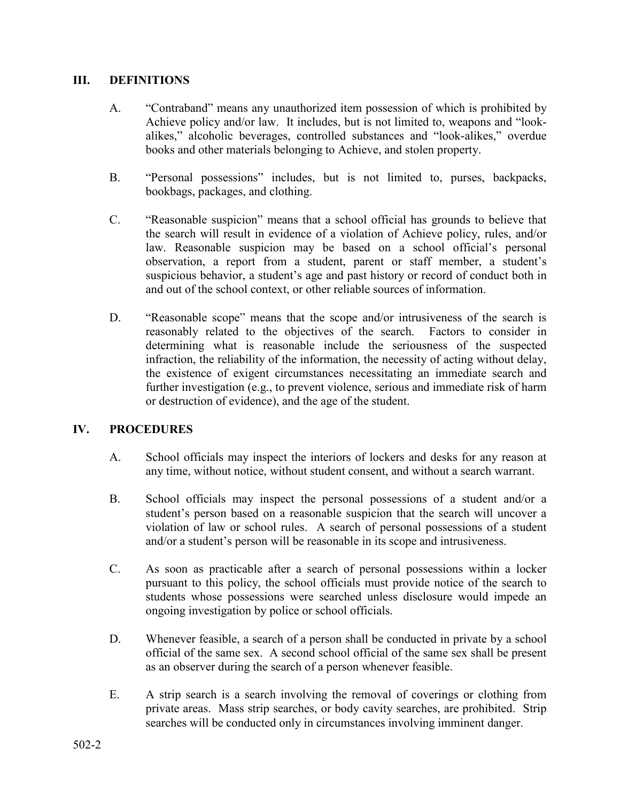# **III. DEFINITIONS**

- A. "Contraband" means any unauthorized item possession of which is prohibited by Achieve policy and/or law. It includes, but is not limited to, weapons and "lookalikes," alcoholic beverages, controlled substances and "look-alikes," overdue books and other materials belonging to Achieve, and stolen property.
- B. "Personal possessions" includes, but is not limited to, purses, backpacks, bookbags, packages, and clothing.
- C. "Reasonable suspicion" means that a school official has grounds to believe that the search will result in evidence of a violation of Achieve policy, rules, and/or law. Reasonable suspicion may be based on a school official's personal observation, a report from a student, parent or staff member, a student's suspicious behavior, a student's age and past history or record of conduct both in and out of the school context, or other reliable sources of information.
- D. "Reasonable scope" means that the scope and/or intrusiveness of the search is reasonably related to the objectives of the search. Factors to consider in determining what is reasonable include the seriousness of the suspected infraction, the reliability of the information, the necessity of acting without delay, the existence of exigent circumstances necessitating an immediate search and further investigation (e.g., to prevent violence, serious and immediate risk of harm or destruction of evidence), and the age of the student.

# **IV. PROCEDURES**

- A. School officials may inspect the interiors of lockers and desks for any reason at any time, without notice, without student consent, and without a search warrant.
- B. School officials may inspect the personal possessions of a student and/or a student's person based on a reasonable suspicion that the search will uncover a violation of law or school rules. A search of personal possessions of a student and/or a student's person will be reasonable in its scope and intrusiveness.
- C. As soon as practicable after a search of personal possessions within a locker pursuant to this policy, the school officials must provide notice of the search to students whose possessions were searched unless disclosure would impede an ongoing investigation by police or school officials.
- D. Whenever feasible, a search of a person shall be conducted in private by a school official of the same sex. A second school official of the same sex shall be present as an observer during the search of a person whenever feasible.
- E. A strip search is a search involving the removal of coverings or clothing from private areas. Mass strip searches, or body cavity searches, are prohibited. Strip searches will be conducted only in circumstances involving imminent danger.